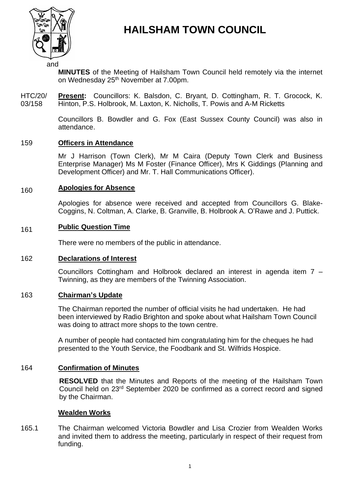

# **HAILSHAM TOWN COUNCIL**

and

**MINUTES** of the Meeting of Hailsham Town Council held remotely via the internet on Wednesday 25<sup>th</sup> November at 7.00pm.

HTC/20/ 03/158 **Present:** Councillors: K. Balsdon, C. Bryant, D. Cottingham, R. T. Grocock, K. Hinton, P.S. Holbrook, M. Laxton, K. Nicholls, T. Powis and A-M Ricketts

> Councillors B. Bowdler and G. Fox (East Sussex County Council) was also in attendance.

#### 159 **Officers in Attendance**

Mr J Harrison (Town Clerk), Mr M Caira (Deputy Town Clerk and Business Enterprise Manager) Ms M Foster (Finance Officer), Mrs K Giddings (Planning and Development Officer) and Mr. T. Hall Communications Officer).

#### 160 **Apologies for Absence**

Apologies for absence were received and accepted from Councillors G. Blake-Coggins, N. Coltman, A. Clarke, B. Granville, B. Holbrook A. O'Rawe and J. Puttick.

#### 161 **Public Question Time**

There were no members of the public in attendance.

### 162 **Declarations of Interest**

Councillors Cottingham and Holbrook declared an interest in agenda item 7 – Twinning, as they are members of the Twinning Association.

# 163 **Chairman's Update**

The Chairman reported the number of official visits he had undertaken. He had been interviewed by Radio Brighton and spoke about what Hailsham Town Council was doing to attract more shops to the town centre.

A number of people had contacted him congratulating him for the cheques he had presented to the Youth Service, the Foodbank and St. Wilfrids Hospice.

# 164 **Confirmation of Minutes**

**RESOLVED** that the Minutes and Reports of the meeting of the Hailsham Town Council held on 23<sup>rd</sup> September 2020 be confirmed as a correct record and signed by the Chairman.

### **Wealden Works**

165.1 The Chairman welcomed Victoria Bowdler and Lisa Crozier from Wealden Works and invited them to address the meeting, particularly in respect of their request from funding.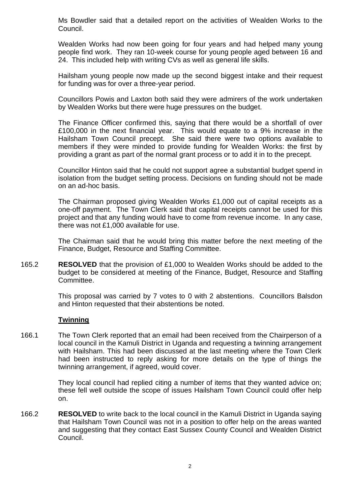Ms Bowdler said that a detailed report on the activities of Wealden Works to the Council.

Wealden Works had now been going for four years and had helped many young people find work. They ran 10-week course for young people aged between 16 and 24. This included help with writing CVs as well as general life skills.

Hailsham young people now made up the second biggest intake and their request for funding was for over a three-year period.

Councillors Powis and Laxton both said they were admirers of the work undertaken by Wealden Works but there were huge pressures on the budget.

The Finance Officer confirmed this, saying that there would be a shortfall of over £100,000 in the next financial year. This would equate to a 9% increase in the Hailsham Town Council precept. She said there were two options available to members if they were minded to provide funding for Wealden Works: the first by providing a grant as part of the normal grant process or to add it in to the precept.

Councillor Hinton said that he could not support agree a substantial budget spend in isolation from the budget setting process. Decisions on funding should not be made on an ad-hoc basis.

The Chairman proposed giving Wealden Works £1,000 out of capital receipts as a one-off payment. The Town Clerk said that capital receipts cannot be used for this project and that any funding would have to come from revenue income. In any case, there was not £1,000 available for use.

The Chairman said that he would bring this matter before the next meeting of the Finance, Budget, Resource and Staffing Committee.

165.2 **RESOLVED** that the provision of £1,000 to Wealden Works should be added to the budget to be considered at meeting of the Finance, Budget, Resource and Staffing Committee.

> This proposal was carried by 7 votes to 0 with 2 abstentions. Councillors Balsdon and Hinton requested that their abstentions be noted.

### **Twinning**

166.1 The Town Clerk reported that an email had been received from the Chairperson of a local council in the Kamuli District in Uganda and requesting a twinning arrangement with Hailsham. This had been discussed at the last meeting where the Town Clerk had been instructed to reply asking for more details on the type of things the twinning arrangement, if agreed, would cover.

> They local council had replied citing a number of items that they wanted advice on; these fell well outside the scope of issues Hailsham Town Council could offer help on.

166.2 **RESOLVED** to write back to the local council in the Kamuli District in Uganda saying that Hailsham Town Council was not in a position to offer help on the areas wanted and suggesting that they contact East Sussex County Council and Wealden District Council.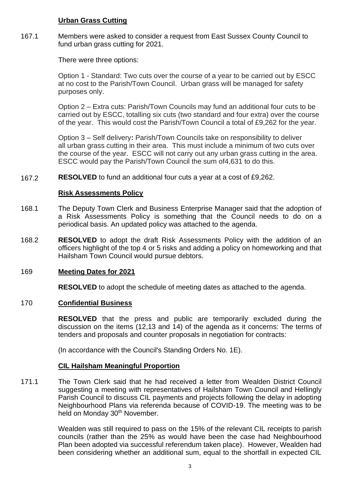# **Urban Grass Cutting**

167.1 Members were asked to consider a request from East Sussex County Council to fund urban grass cutting for 2021.

There were three options:

Option 1 - Standard: Two cuts over the course of a year to be carried out by ESCC at no cost to the Parish/Town Council. Urban grass will be managed for safety purposes only.

Option 2 – Extra cuts: Parish/Town Councils may fund an additional four cuts to be carried out by ESCC, totalling six cuts (two standard and four extra) over the course of the year. This would cost the Parish/Town Council a total of £9,262 for the year.

Option 3 – Self delivery**:** Parish/Town Councils take on responsibility to deliver all urban grass cutting in their area. This must include a minimum of two cuts over the course of the year. ESCC will not carry out any urban grass cutting in the area. ESCC would pay the Parish/Town Council the sum of4,631 to do this.

167.2 **RESOLVED** to fund an additional four cuts a year at a cost of £9,262.

# **Risk Assessments Policy**

- 168.1 The Deputy Town Clerk and Business Enterprise Manager said that the adoption of a Risk Assessments Policy is something that the Council needs to do on a periodical basis. An updated policy was attached to the agenda.
- 168.2 **RESOLVED** to adopt the draft Risk Assessments Policy with the addition of an officers highlight of the top 4 or 5 risks and adding a policy on homeworking and that Hailsham Town Council would pursue debtors.

# 169 **Meeting Dates for 2021**

**RESOLVED** to adopt the schedule of meeting dates as attached to the agenda.

# 170 **Confidential Business**

**RESOLVED** that the press and public are temporarily excluded during the discussion on the items (12,13 and 14) of the agenda as it concerns: The terms of tenders and proposals and counter proposals in negotiation for contracts:

(In accordance with the Council's Standing Orders No. 1E).

# **CIL Hailsham Meaningful Proportion**

171.1 The Town Clerk said that he had received a letter from Wealden District Council suggesting a meeting with representatives of Hailsham Town Council and Hellingly Parish Council to discuss CIL payments and projects following the delay in adopting Neighbourhood Plans via referenda because of COVID-19. The meeting was to be held on Monday 30<sup>th</sup> November.

> Wealden was still required to pass on the 15% of the relevant CIL receipts to parish councils (rather than the 25% as would have been the case had Neighbourhood Plan been adopted via successful referendum taken place). However, Wealden had been considering whether an additional sum, equal to the shortfall in expected CIL